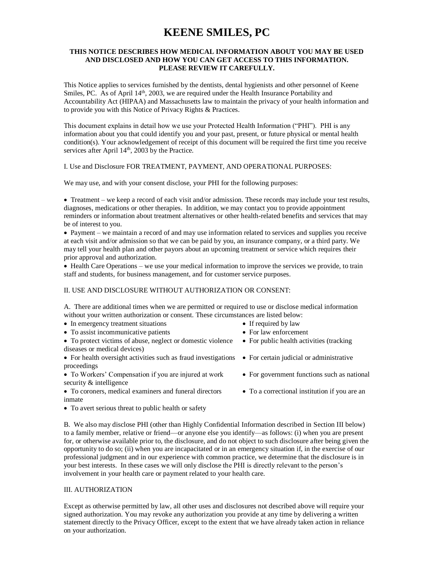# **KEENE SMILES, PC**

# **THIS NOTICE DESCRIBES HOW MEDICAL INFORMATION ABOUT YOU MAY BE USED AND DISCLOSED AND HOW YOU CAN GET ACCESS TO THIS INFORMATION. PLEASE REVIEW IT CAREFULLY.**

This Notice applies to services furnished by the dentists, dental hygienists and other personnel of Keene Smiles, PC. As of April  $14<sup>th</sup>$ , 2003, we are required under the Health Insurance Portability and Accountability Act (HIPAA) and Massachusetts law to maintain the privacy of your health information and to provide you with this Notice of Privacy Rights & Practices.

This document explains in detail how we use your Protected Health Information ("PHI"). PHI is any information about you that could identify you and your past, present, or future physical or mental health condition(s). Your acknowledgement of receipt of this document will be required the first time you receive services after April 14<sup>th</sup>, 2003 by the Practice.

I. Use and Disclosure FOR TREATMENT, PAYMENT, AND OPERATIONAL PURPOSES:

We may use, and with your consent disclose, your PHI for the following purposes:

• Treatment – we keep a record of each visit and/or admission. These records may include your test results, diagnoses, medications or other therapies. In addition, we may contact you to provide appointment reminders or information about treatment alternatives or other health-related benefits and services that may be of interest to you.

• Payment – we maintain a record of and may use information related to services and supplies you receive at each visit and/or admission so that we can be paid by you, an insurance company, or a third party. We may tell your health plan and other payors about an upcoming treatment or service which requires their prior approval and authorization.

• Health Care Operations – we use your medical information to improve the services we provide, to train staff and students, for business management, and for customer service purposes.

# II. USE AND DISCLOSURE WITHOUT AUTHORIZATION OR CONSENT:

A. There are additional times when we are permitted or required to use or disclose medical information without your written authorization or consent. These circumstances are listed below:

- In emergency treatment situations If required by law
- To assist incommunicative patients For law enforcement
- To protect victims of abuse, neglect or domestic violence For public health activities (tracking diseases or medical devices)

• For health oversight activities such as fraud investigations • For certain judicial or administrative proceedings

- To Workers' Compensation if you are injured at work For government functions such as national security & intelligence
- To coroners, medical examiners and funeral directors To a correctional institution if you are an inmate
- 
- 
- 
- 
- 
- 
- To avert serious threat to public health or safety

B. We also may disclose PHI (other than Highly Confidential Information described in Section III below) to a family member, relative or friend—or anyone else you identify—as follows: (i) when you are present for, or otherwise available prior to, the disclosure, and do not object to such disclosure after being given the opportunity to do so; (ii) when you are incapacitated or in an emergency situation if, in the exercise of our professional judgment and in our experience with common practice, we determine that the disclosure is in your best interests. In these cases we will only disclose the PHI is directly relevant to the person's involvement in your health care or payment related to your health care.

#### III. AUTHORIZATION

Except as otherwise permitted by law, all other uses and disclosures not described above will require your signed authorization. You may revoke any authorization you provide at any time by delivering a written statement directly to the Privacy Officer, except to the extent that we have already taken action in reliance on your authorization.